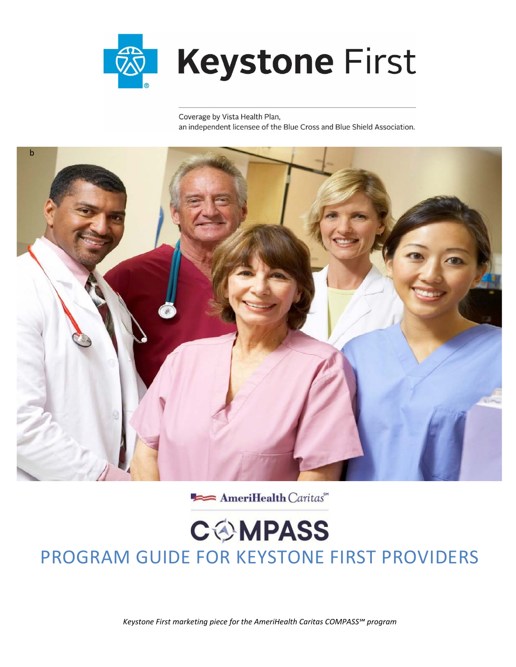

Coverage by Vista Health Plan, an independent licensee of the Blue Cross and Blue Shield Association.



AmeriHealth Caritas"

# **COMPASS** PROGRAM GUIDE FOR KEYSTONE FIRST PROVIDERS

*Keystone First marketing piece for the AmeriHealth Caritas COMPASS℠ program*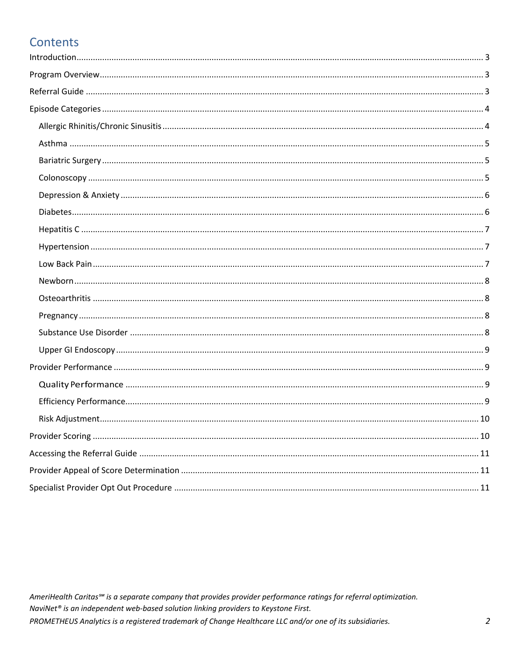# **Contents**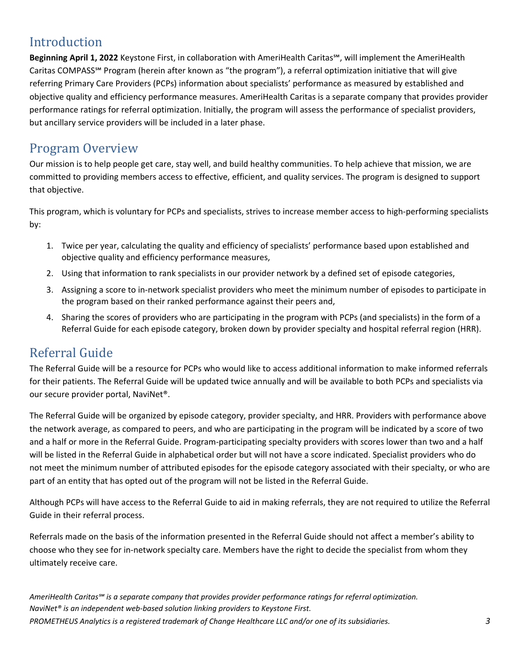# Introduction

**Beginning April 1, 2022** Keystone First, in collaboration with AmeriHealth Caritas℠, will implement the AmeriHealth Caritas COMPASS℠ Program (herein after known as "the program"), a referral optimization initiative that will give referring Primary Care Providers (PCPs) information about specialists' performance as measured by established and objective quality and efficiency performance measures. AmeriHealth Caritas is a separate company that provides provider performance ratings for referral optimization. Initially, the program will assess the performance of specialist providers, but ancillary service providers will be included in a later phase.

### Program Overview

Our mission is to help people get care, stay well, and build healthy communities. To help achieve that mission, we are committed to providing members access to effective, efficient, and quality services. The program is designed to support that objective.

This program, which is voluntary for PCPs and specialists, strives to increase member access to high-performing specialists by:

- 1. Twice per year, calculating the quality and efficiency of specialists' performance based upon established and objective quality and efficiency performance measures,
- 2. Using that information to rank specialists in our provider network by a defined set of episode categories,
- 3. Assigning a score to in-network specialist providers who meet the minimum number of episodes to participate in the program based on their ranked performance against their peers and,
- 4. Sharing the scores of providers who are participating in the program with PCPs (and specialists) in the form of a Referral Guide for each episode category, broken down by provider specialty and hospital referral region (HRR).

### Referral Guide

The Referral Guide will be a resource for PCPs who would like to access additional information to make informed referrals for their patients. The Referral Guide will be updated twice annually and will be available to both PCPs and specialists via our secure provider portal, NaviNet®.

The Referral Guide will be organized by episode category, provider specialty, and HRR. Providers with performance above the network average, as compared to peers, and who are participating in the program will be indicated by a score of two and a half or more in the Referral Guide. Program-participating specialty providers with scores lower than two and a half will be listed in the Referral Guide in alphabetical order but will not have a score indicated. Specialist providers who do not meet the minimum number of attributed episodes for the episode category associated with their specialty, or who are part of an entity that has opted out of the program will not be listed in the Referral Guide.

Although PCPs will have access to the Referral Guide to aid in making referrals, they are not required to utilize the Referral Guide in their referral process.

Referrals made on the basis of the information presented in the Referral Guide should not affect a member's ability to choose who they see for in-network specialty care. Members have the right to decide the specialist from whom they ultimately receive care.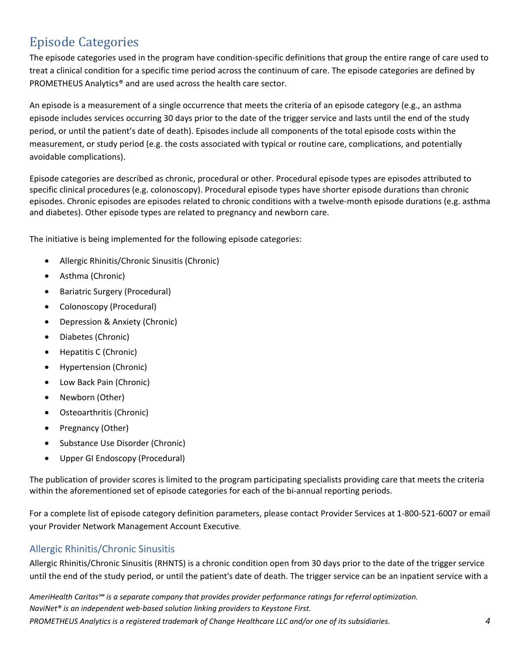# Episode Categories

The episode categories used in the program have condition-specific definitions that group the entire range of care used to treat a clinical condition for a specific time period across the continuum of care. The episode categories are defined by PROMETHEUS Analytics® and are used across the health care sector.

An episode is a measurement of a single occurrence that meets the criteria of an episode category (e.g., an asthma episode includes services occurring 30 days prior to the date of the trigger service and lasts until the end of the study period, or until the patient's date of death). Episodes include all components of the total episode costs within the measurement, or study period (e.g. the costs associated with typical or routine care, complications, and potentially avoidable complications).

Episode categories are described as chronic, procedural or other. Procedural episode types are episodes attributed to specific clinical procedures (e.g. colonoscopy). Procedural episode types have shorter episode durations than chronic episodes. Chronic episodes are episodes related to chronic conditions with a twelve-month episode durations (e.g. asthma and diabetes). Other episode types are related to pregnancy and newborn care.

The initiative is being implemented for the following episode categories:

- Allergic Rhinitis/Chronic Sinusitis (Chronic)
- Asthma (Chronic)
- Bariatric Surgery (Procedural)
- Colonoscopy (Procedural)
- Depression & Anxiety (Chronic)
- Diabetes (Chronic)
- Hepatitis C (Chronic)
- Hypertension (Chronic)
- Low Back Pain (Chronic)
- Newborn (Other)
- Osteoarthritis (Chronic)
- Pregnancy (Other)
- Substance Use Disorder (Chronic)
- Upper GI Endoscopy (Procedural)

The publication of provider scores is limited to the program participating specialists providing care that meets the criteria within the aforementioned set of episode categories for each of the bi-annual reporting periods.

For a complete list of episode category definition parameters, please contact Provider Services at 1-800-521-6007 or email your Provider Network Management Account Executive.

#### Allergic Rhinitis/Chronic Sinusitis

Allergic Rhinitis/Chronic Sinusitis (RHNTS) is a chronic condition open from 30 days prior to the date of the trigger service until the end of the study period, or until the patient's date of death. The trigger service can be an inpatient service with a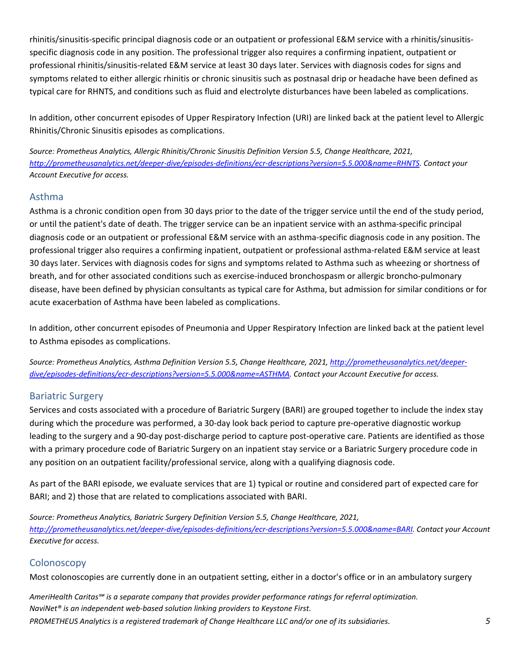rhinitis/sinusitis-specific principal diagnosis code or an outpatient or professional E&M service with a rhinitis/sinusitisspecific diagnosis code in any position. The professional trigger also requires a confirming inpatient, outpatient or professional rhinitis/sinusitis-related E&M service at least 30 days later. Services with diagnosis codes for signs and symptoms related to either allergic rhinitis or chronic sinusitis such as postnasal drip or headache have been defined as typical care for RHNTS, and conditions such as fluid and electrolyte disturbances have been labeled as complications.

In addition, other concurrent episodes of Upper Respiratory Infection (URI) are linked back at the patient level to Allergic Rhinitis/Chronic Sinusitis episodes as complications.

*Source: Prometheus Analytics, Allergic Rhinitis/Chronic Sinusitis Definition Version 5.5, Change Healthcare, 2021, http://prometheusanalytics.net/deeper-dive/episodes-definitions/ecr-descriptions?version=5.5.000&name=RHNTS. Contact your Account Executive for access.* 

#### Asthma

Asthma is a chronic condition open from 30 days prior to the date of the trigger service until the end of the study period, or until the patient's date of death. The trigger service can be an inpatient service with an asthma-specific principal diagnosis code or an outpatient or professional E&M service with an asthma-specific diagnosis code in any position. The professional trigger also requires a confirming inpatient, outpatient or professional asthma-related E&M service at least 30 days later. Services with diagnosis codes for signs and symptoms related to Asthma such as wheezing or shortness of breath, and for other associated conditions such as exercise-induced bronchospasm or allergic broncho-pulmonary disease, have been defined by physician consultants as typical care for Asthma, but admission for similar conditions or for acute exacerbation of Asthma have been labeled as complications.

In addition, other concurrent episodes of Pneumonia and Upper Respiratory Infection are linked back at the patient level to Asthma episodes as complications.

*Source: Prometheus Analytics, Asthma Definition Version 5.5, Change Healthcare, 2021, http://prometheusanalytics.net/deeperdive/episodes-definitions/ecr-descriptions?version=5.5.000&name=ASTHMA. Contact your Account Executive for access.* 

#### Bariatric Surgery

Services and costs associated with a procedure of Bariatric Surgery (BARI) are grouped together to include the index stay during which the procedure was performed, a 30-day look back period to capture pre-operative diagnostic workup leading to the surgery and a 90-day post-discharge period to capture post-operative care. Patients are identified as those with a primary procedure code of Bariatric Surgery on an inpatient stay service or a Bariatric Surgery procedure code in any position on an outpatient facility/professional service, along with a qualifying diagnosis code.

As part of the BARI episode, we evaluate services that are 1) typical or routine and considered part of expected care for BARI; and 2) those that are related to complications associated with BARI.

*Source: Prometheus Analytics, Bariatric Surgery Definition Version 5.5, Change Healthcare, 2021, http://prometheusanalytics.net/deeper-dive/episodes-definitions/ecr-descriptions?version=5.5.000&name=BARI. Contact your Account Executive for access.* 

#### **Colonoscopy**

Most colonoscopies are currently done in an outpatient setting, either in a doctor's office or in an ambulatory surgery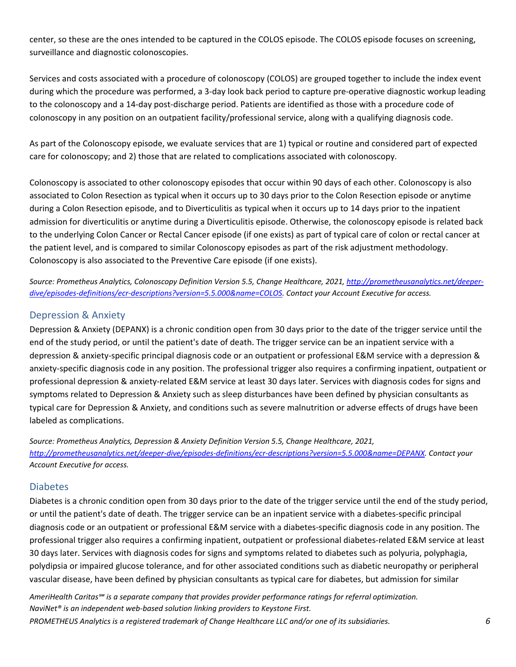center, so these are the ones intended to be captured in the COLOS episode. The COLOS episode focuses on screening, surveillance and diagnostic colonoscopies.

Services and costs associated with a procedure of colonoscopy (COLOS) are grouped together to include the index event during which the procedure was performed, a 3-day look back period to capture pre-operative diagnostic workup leading to the colonoscopy and a 14-day post-discharge period. Patients are identified as those with a procedure code of colonoscopy in any position on an outpatient facility/professional service, along with a qualifying diagnosis code.

As part of the Colonoscopy episode, we evaluate services that are 1) typical or routine and considered part of expected care for colonoscopy; and 2) those that are related to complications associated with colonoscopy.

Colonoscopy is associated to other colonoscopy episodes that occur within 90 days of each other. Colonoscopy is also associated to Colon Resection as typical when it occurs up to 30 days prior to the Colon Resection episode or anytime during a Colon Resection episode, and to Diverticulitis as typical when it occurs up to 14 days prior to the inpatient admission for diverticulitis or anytime during a Diverticulitis episode. Otherwise, the colonoscopy episode is related back to the underlying Colon Cancer or Rectal Cancer episode (if one exists) as part of typical care of colon or rectal cancer at the patient level, and is compared to similar Colonoscopy episodes as part of the risk adjustment methodology. Colonoscopy is also associated to the Preventive Care episode (if one exists).

*Source: Prometheus Analytics, Colonoscopy Definition Version 5.5, Change Healthcare, 2021, http://prometheusanalytics.net/deeperdive/episodes-definitions/ecr-descriptions?version=5.5.000&name=COLOS. Contact your Account Executive for access.* 

#### Depression & Anxiety

Depression & Anxiety (DEPANX) is a chronic condition open from 30 days prior to the date of the trigger service until the end of the study period, or until the patient's date of death. The trigger service can be an inpatient service with a depression & anxiety-specific principal diagnosis code or an outpatient or professional E&M service with a depression & anxiety-specific diagnosis code in any position. The professional trigger also requires a confirming inpatient, outpatient or professional depression & anxiety-related E&M service at least 30 days later. Services with diagnosis codes for signs and symptoms related to Depression & Anxiety such as sleep disturbances have been defined by physician consultants as typical care for Depression & Anxiety, and conditions such as severe malnutrition or adverse effects of drugs have been labeled as complications.

*Source: Prometheus Analytics, Depression & Anxiety Definition Version 5.5, Change Healthcare, 2021, http://prometheusanalytics.net/deeper-dive/episodes-definitions/ecr-descriptions?version=5.5.000&name=DEPANX. Contact your Account Executive for access.* 

#### Diabetes

Diabetes is a chronic condition open from 30 days prior to the date of the trigger service until the end of the study period, or until the patient's date of death. The trigger service can be an inpatient service with a diabetes-specific principal diagnosis code or an outpatient or professional E&M service with a diabetes-specific diagnosis code in any position. The professional trigger also requires a confirming inpatient, outpatient or professional diabetes-related E&M service at least 30 days later. Services with diagnosis codes for signs and symptoms related to diabetes such as polyuria, polyphagia, polydipsia or impaired glucose tolerance, and for other associated conditions such as diabetic neuropathy or peripheral vascular disease, have been defined by physician consultants as typical care for diabetes, but admission for similar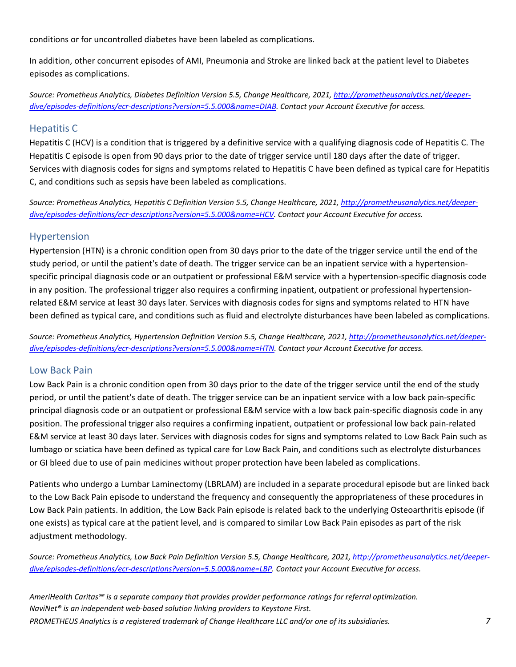conditions or for uncontrolled diabetes have been labeled as complications.

In addition, other concurrent episodes of AMI, Pneumonia and Stroke are linked back at the patient level to Diabetes episodes as complications.

*Source: Prometheus Analytics, Diabetes Definition Version 5.5, Change Healthcare, 2021, http://prometheusanalytics.net/deeperdive/episodes-definitions/ecr-descriptions?version=5.5.000&name=DIAB. Contact your Account Executive for access.* 

#### Hepatitis C

Hepatitis C (HCV) is a condition that is triggered by a definitive service with a qualifying diagnosis code of Hepatitis C. The Hepatitis C episode is open from 90 days prior to the date of trigger service until 180 days after the date of trigger. Services with diagnosis codes for signs and symptoms related to Hepatitis C have been defined as typical care for Hepatitis C, and conditions such as sepsis have been labeled as complications.

*Source: Prometheus Analytics, Hepatitis C Definition Version 5.5, Change Healthcare, 2021, http://prometheusanalytics.net/deeperdive/episodes-definitions/ecr-descriptions?version=5.5.000&name=HCV. Contact your Account Executive for access.* 

#### Hypertension

Hypertension (HTN) is a chronic condition open from 30 days prior to the date of the trigger service until the end of the study period, or until the patient's date of death. The trigger service can be an inpatient service with a hypertensionspecific principal diagnosis code or an outpatient or professional E&M service with a hypertension-specific diagnosis code in any position. The professional trigger also requires a confirming inpatient, outpatient or professional hypertensionrelated E&M service at least 30 days later. Services with diagnosis codes for signs and symptoms related to HTN have been defined as typical care, and conditions such as fluid and electrolyte disturbances have been labeled as complications.

*Source: Prometheus Analytics, Hypertension Definition Version 5.5, Change Healthcare, 2021, http://prometheusanalytics.net/deeperdive/episodes-definitions/ecr-descriptions?version=5.5.000&name=HTN. Contact your Account Executive for access.* 

#### Low Back Pain

Low Back Pain is a chronic condition open from 30 days prior to the date of the trigger service until the end of the study period, or until the patient's date of death. The trigger service can be an inpatient service with a low back pain-specific principal diagnosis code or an outpatient or professional E&M service with a low back pain-specific diagnosis code in any position. The professional trigger also requires a confirming inpatient, outpatient or professional low back pain-related E&M service at least 30 days later. Services with diagnosis codes for signs and symptoms related to Low Back Pain such as lumbago or sciatica have been defined as typical care for Low Back Pain, and conditions such as electrolyte disturbances or GI bleed due to use of pain medicines without proper protection have been labeled as complications.

Patients who undergo a Lumbar Laminectomy (LBRLAM) are included in a separate procedural episode but are linked back to the Low Back Pain episode to understand the frequency and consequently the appropriateness of these procedures in Low Back Pain patients. In addition, the Low Back Pain episode is related back to the underlying Osteoarthritis episode (if one exists) as typical care at the patient level, and is compared to similar Low Back Pain episodes as part of the risk adjustment methodology.

*Source: Prometheus Analytics, Low Back Pain Definition Version 5.5, Change Healthcare, 2021, http://prometheusanalytics.net/deeperdive/episodes-definitions/ecr-descriptions?version=5.5.000&name=LBP. Contact your Account Executive for access.*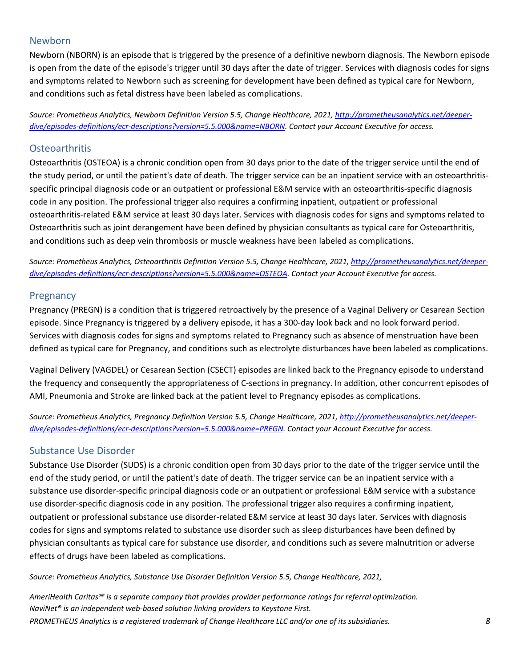#### Newborn

Newborn (NBORN) is an episode that is triggered by the presence of a definitive newborn diagnosis. The Newborn episode is open from the date of the episode's trigger until 30 days after the date of trigger. Services with diagnosis codes for signs and symptoms related to Newborn such as screening for development have been defined as typical care for Newborn, and conditions such as fetal distress have been labeled as complications.

*Source: Prometheus Analytics, Newborn Definition Version 5.5, Change Healthcare, 2021, http://prometheusanalytics.net/deeperdive/episodes-definitions/ecr-descriptions?version=5.5.000&name=NBORN. Contact your Account Executive for access.* 

#### **Osteoarthritis**

Osteoarthritis (OSTEOA) is a chronic condition open from 30 days prior to the date of the trigger service until the end of the study period, or until the patient's date of death. The trigger service can be an inpatient service with an osteoarthritisspecific principal diagnosis code or an outpatient or professional E&M service with an osteoarthritis-specific diagnosis code in any position. The professional trigger also requires a confirming inpatient, outpatient or professional osteoarthritis-related E&M service at least 30 days later. Services with diagnosis codes for signs and symptoms related to Osteoarthritis such as joint derangement have been defined by physician consultants as typical care for Osteoarthritis, and conditions such as deep vein thrombosis or muscle weakness have been labeled as complications.

*Source: Prometheus Analytics, Osteoarthritis Definition Version 5.5, Change Healthcare, 2021, http://prometheusanalytics.net/deeperdive/episodes-definitions/ecr-descriptions?version=5.5.000&name=OSTEOA. Contact your Account Executive for access.* 

#### **Pregnancy**

Pregnancy (PREGN) is a condition that is triggered retroactively by the presence of a Vaginal Delivery or Cesarean Section episode. Since Pregnancy is triggered by a delivery episode, it has a 300-day look back and no look forward period. Services with diagnosis codes for signs and symptoms related to Pregnancy such as absence of menstruation have been defined as typical care for Pregnancy, and conditions such as electrolyte disturbances have been labeled as complications.

Vaginal Delivery (VAGDEL) or Cesarean Section (CSECT) episodes are linked back to the Pregnancy episode to understand the frequency and consequently the appropriateness of C-sections in pregnancy. In addition, other concurrent episodes of AMI, Pneumonia and Stroke are linked back at the patient level to Pregnancy episodes as complications.

*Source: Prometheus Analytics, Pregnancy Definition Version 5.5, Change Healthcare, 2021, http://prometheusanalytics.net/deeperdive/episodes-definitions/ecr-descriptions?version=5.5.000&name=PREGN. Contact your Account Executive for access.* 

#### Substance Use Disorder

Substance Use Disorder (SUDS) is a chronic condition open from 30 days prior to the date of the trigger service until the end of the study period, or until the patient's date of death. The trigger service can be an inpatient service with a substance use disorder-specific principal diagnosis code or an outpatient or professional E&M service with a substance use disorder-specific diagnosis code in any position. The professional trigger also requires a confirming inpatient, outpatient or professional substance use disorder-related E&M service at least 30 days later. Services with diagnosis codes for signs and symptoms related to substance use disorder such as sleep disturbances have been defined by physician consultants as typical care for substance use disorder, and conditions such as severe malnutrition or adverse effects of drugs have been labeled as complications.

*Source: Prometheus Analytics, Substance Use Disorder Definition Version 5.5, Change Healthcare, 2021,*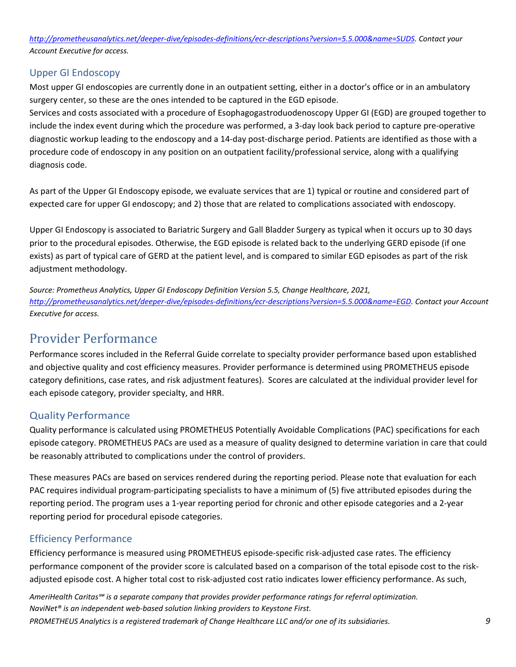*http://prometheusanalytics.net/deeper-dive/episodes-definitions/ecr-descriptions?version=5.5.000&name=SUDS. Contact your Account Executive for access.* 

#### Upper GI Endoscopy

Most upper GI endoscopies are currently done in an outpatient setting, either in a doctor's office or in an ambulatory surgery center, so these are the ones intended to be captured in the EGD episode.

Services and costs associated with a procedure of Esophagogastroduodenoscopy Upper GI (EGD) are grouped together to include the index event during which the procedure was performed, a 3-day look back period to capture pre-operative diagnostic workup leading to the endoscopy and a 14-day post-discharge period. Patients are identified as those with a procedure code of endoscopy in any position on an outpatient facility/professional service, along with a qualifying diagnosis code.

As part of the Upper GI Endoscopy episode, we evaluate services that are 1) typical or routine and considered part of expected care for upper GI endoscopy; and 2) those that are related to complications associated with endoscopy.

Upper GI Endoscopy is associated to Bariatric Surgery and Gall Bladder Surgery as typical when it occurs up to 30 days prior to the procedural episodes. Otherwise, the EGD episode is related back to the underlying GERD episode (if one exists) as part of typical care of GERD at the patient level, and is compared to similar EGD episodes as part of the risk adjustment methodology.

*Source: Prometheus Analytics, Upper GI Endoscopy Definition Version 5.5, Change Healthcare, 2021, http://prometheusanalytics.net/deeper-dive/episodes-definitions/ecr-descriptions?version=5.5.000&name=EGD. Contact your Account Executive for access.* 

# Provider Performance

Performance scores included in the Referral Guide correlate to specialty provider performance based upon established and objective quality and cost efficiency measures. Provider performance is determined using PROMETHEUS episode category definitions, case rates, and risk adjustment features). Scores are calculated at the individual provider level for each episode category, provider specialty, and HRR.

#### Quality Performance

Quality performance is calculated using PROMETHEUS Potentially Avoidable Complications (PAC) specifications for each episode category. PROMETHEUS PACs are used as a measure of quality designed to determine variation in care that could be reasonably attributed to complications under the control of providers.

These measures PACs are based on services rendered during the reporting period. Please note that evaluation for each PAC requires individual program-participating specialists to have a minimum of (5) five attributed episodes during the reporting period. The program uses a 1-year reporting period for chronic and other episode categories and a 2-year reporting period for procedural episode categories.

#### Efficiency Performance

Efficiency performance is measured using PROMETHEUS episode-specific risk-adjusted case rates. The efficiency performance component of the provider score is calculated based on a comparison of the total episode cost to the riskadjusted episode cost. A higher total cost to risk-adjusted cost ratio indicates lower efficiency performance. As such,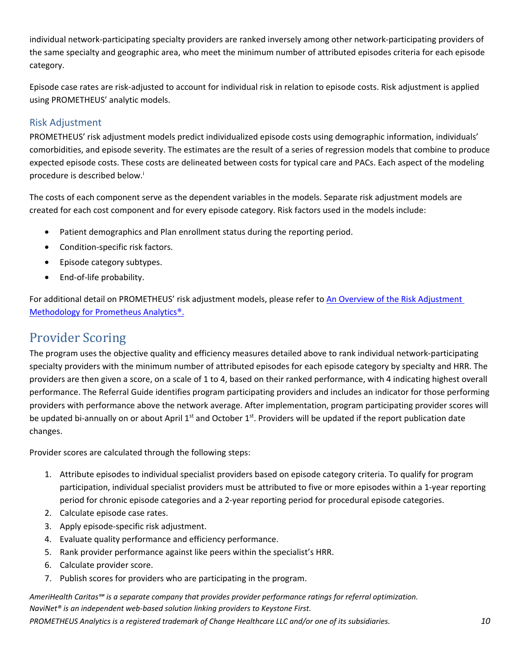individual network-participating specialty providers are ranked inversely among other network-participating providers of the same specialty and geographic area, who meet the minimum number of attributed episodes criteria for each episode category.

Episode case rates are risk-adjusted to account for individual risk in relation to episode costs. Risk adjustment is applied using PROMETHEUS' analytic models.

#### Risk Adjustment

PROMETHEUS' risk adjustment models predict individualized episode costs using demographic information, individuals' comorbidities, and episode severity. The estimates are the result of a series of regression models that combine to produce expected episode costs. These costs are delineated between costs for typical care and PACs. Each aspect of the modeling procedure is described below.<sup>i</sup>

The costs of each component serve as the dependent variables in the models. Separate risk adjustment models are created for each cost component and for every episode category. Risk factors used in the models include:

- Patient demographics and Plan enrollment status during the reporting period.
- Condition-specific risk factors.
- Episode category subtypes.
- End-of-life probability.

For additional detail on PROMETHEUS' risk adjustment models, please refer to An Overview of the Risk Adjustment Methodology for Prometheus Analytics®.

### Provider Scoring

The program uses the objective quality and efficiency measures detailed above to rank individual network-participating specialty providers with the minimum number of attributed episodes for each episode category by specialty and HRR. The providers are then given a score, on a scale of 1 to 4, based on their ranked performance, with 4 indicating highest overall performance. The Referral Guide identifies program participating providers and includes an indicator for those performing providers with performance above the network average. After implementation, program participating provider scores will be updated bi-annually on or about April  $1^{st}$  and October  $1^{st}$ . Providers will be updated if the report publication date changes.

Provider scores are calculated through the following steps:

- 1. Attribute episodes to individual specialist providers based on episode category criteria. To qualify for program participation, individual specialist providers must be attributed to five or more episodes within a 1-year reporting period for chronic episode categories and a 2-year reporting period for procedural episode categories.
- 2. Calculate episode case rates.
- 3. Apply episode-specific risk adjustment.
- 4. Evaluate quality performance and efficiency performance.
- 5. Rank provider performance against like peers within the specialist's HRR.
- 6. Calculate provider score.
- 7. Publish scores for providers who are participating in the program.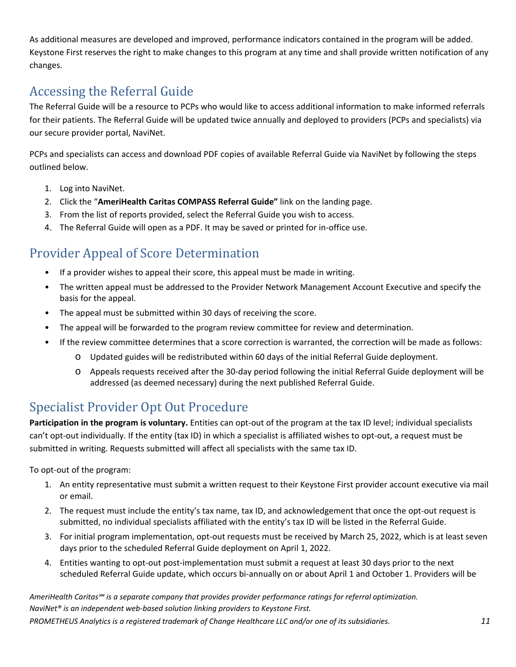As additional measures are developed and improved, performance indicators contained in the program will be added. Keystone First reserves the right to make changes to this program at any time and shall provide written notification of any changes.

# Accessing the Referral Guide

The Referral Guide will be a resource to PCPs who would like to access additional information to make informed referrals for their patients. The Referral Guide will be updated twice annually and deployed to providers (PCPs and specialists) via our secure provider portal, NaviNet.

PCPs and specialists can access and download PDF copies of available Referral Guide via NaviNet by following the steps outlined below.

- 1. Log into NaviNet.
- 2. Click the "**AmeriHealth Caritas COMPASS Referral Guide"** link on the landing page.
- 3. From the list of reports provided, select the Referral Guide you wish to access.
- 4. The Referral Guide will open as a PDF. It may be saved or printed for in-office use.

### Provider Appeal of Score Determination

- If a provider wishes to appeal their score, this appeal must be made in writing.
- The written appeal must be addressed to the Provider Network Management Account Executive and specify the basis for the appeal.
- The appeal must be submitted within 30 days of receiving the score.
- The appeal will be forwarded to the program review committee for review and determination.
- If the review committee determines that a score correction is warranted, the correction will be made as follows:
	- o Updated guides will be redistributed within 60 days of the initial Referral Guide deployment.
	- o Appeals requests received after the 30-day period following the initial Referral Guide deployment will be addressed (as deemed necessary) during the next published Referral Guide.

# Specialist Provider Opt Out Procedure

**Participation in the program is voluntary.** Entities can opt-out of the program at the tax ID level; individual specialists can't opt-out individually. If the entity (tax ID) in which a specialist is affiliated wishes to opt-out, a request must be submitted in writing. Requests submitted will affect all specialists with the same tax ID.

To opt-out of the program:

- 1. An entity representative must submit a written request to their Keystone First provider account executive via mail or email.
- 2. The request must include the entity's tax name, tax ID, and acknowledgement that once the opt-out request is submitted, no individual specialists affiliated with the entity's tax ID will be listed in the Referral Guide.
- 3. For initial program implementation, opt-out requests must be received by March 25, 2022, which is at least seven days prior to the scheduled Referral Guide deployment on April 1, 2022.
- 4. Entities wanting to opt-out post-implementation must submit a request at least 30 days prior to the next scheduled Referral Guide update, which occurs bi-annually on or about April 1 and October 1. Providers will be